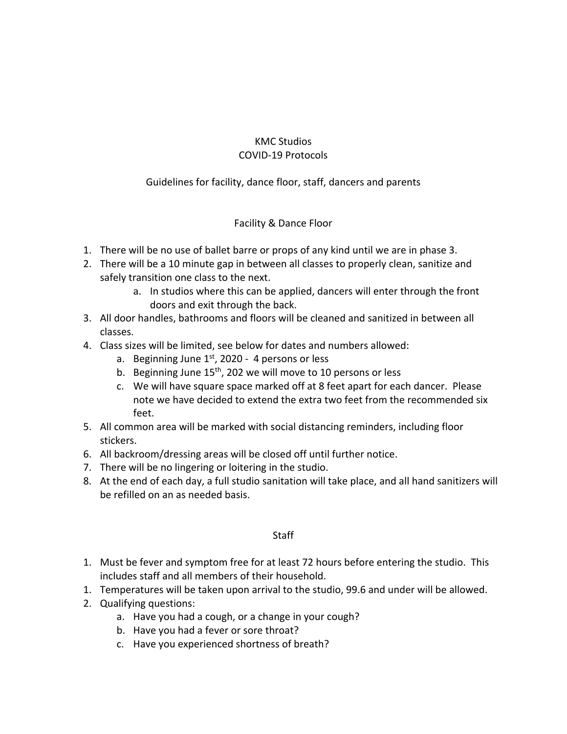# KMC Studios COVID-19 Protocols

# Guidelines for facility, dance floor, staff, dancers and parents

## Facility & Dance Floor

- 1. There will be no use of ballet barre or props of any kind until we are in phase 3.
- 2. There will be a 10 minute gap in between all classes to properly clean, sanitize and safely transition one class to the next.
	- a. In studios where this can be applied, dancers will enter through the front doors and exit through the back.
- 3. All door handles, bathrooms and floors will be cleaned and sanitized in between all classes.
- 4. Class sizes will be limited, see below for dates and numbers allowed:
	- a. Beginning June  $1<sup>st</sup>$ , 2020 4 persons or less
	- b. Beginning June  $15<sup>th</sup>$ , 202 we will move to 10 persons or less
	- c. We will have square space marked off at 8 feet apart for each dancer. Please note we have decided to extend the extra two feet from the recommended six feet.
- 5. All common area will be marked with social distancing reminders, including floor stickers.
- 6. All backroom/dressing areas will be closed off until further notice.
- 7. There will be no lingering or loitering in the studio.
- 8. At the end of each day, a full studio sanitation will take place, and all hand sanitizers will be refilled on an as needed basis.

## **Staff**

- 1. Must be fever and symptom free for at least 72 hours before entering the studio. This includes staff and all members of their household.
- 1. Temperatures will be taken upon arrival to the studio, 99.6 and under will be allowed.
- 2. Qualifying questions:
	- a. Have you had a cough, or a change in your cough?
	- b. Have you had a fever or sore throat?
	- c. Have you experienced shortness of breath?